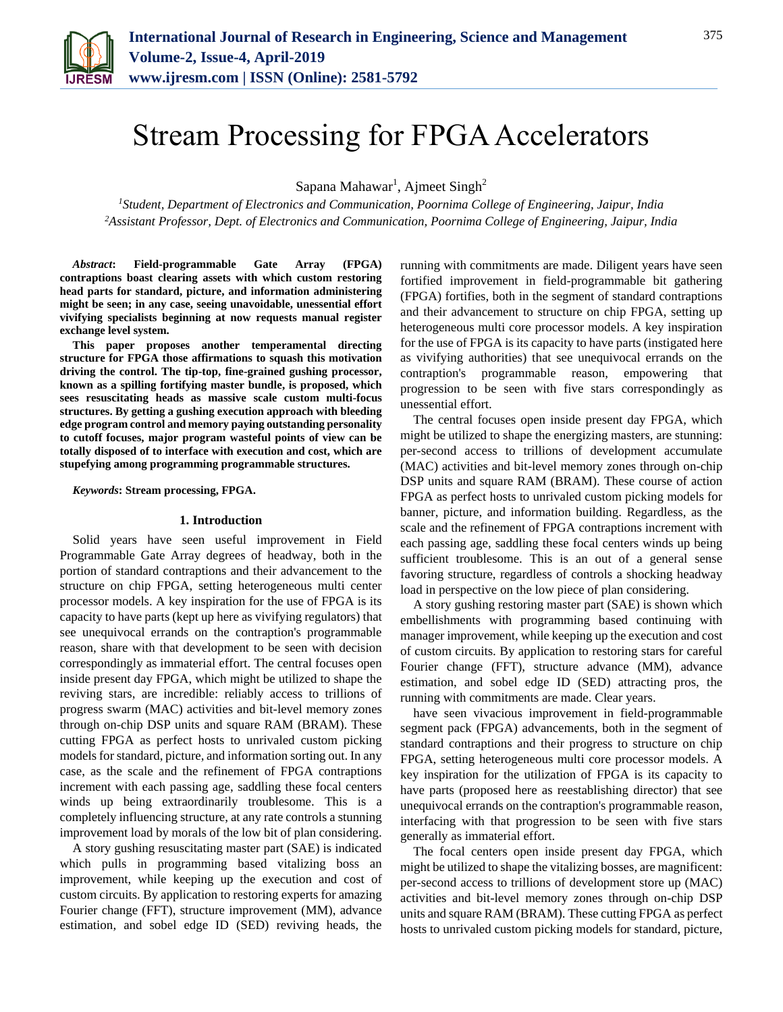

# Stream Processing for FPGA Accelerators

Sapana Mahawar<sup>1</sup>, Ajmeet Singh<sup>2</sup>

*<sup>1</sup>Student, Department of Electronics and Communication, Poornima College of Engineering, Jaipur, India <sup>2</sup>Assistant Professor, Dept. of Electronics and Communication, Poornima College of Engineering, Jaipur, India*

*Abstract***: Field-programmable Gate Array (FPGA) contraptions boast clearing assets with which custom restoring head parts for standard, picture, and information administering might be seen; in any case, seeing unavoidable, unessential effort vivifying specialists beginning at now requests manual register exchange level system.** 

**This paper proposes another temperamental directing structure for FPGA those affirmations to squash this motivation driving the control. The tip-top, fine-grained gushing processor, known as a spilling fortifying master bundle, is proposed, which sees resuscitating heads as massive scale custom multi-focus structures. By getting a gushing execution approach with bleeding edge program control and memory paying outstanding personality to cutoff focuses, major program wasteful points of view can be totally disposed of to interface with execution and cost, which are stupefying among programming programmable structures.**

*Keywords***: Stream processing, FPGA.**

#### **1. Introduction**

Solid years have seen useful improvement in Field Programmable Gate Array degrees of headway, both in the portion of standard contraptions and their advancement to the structure on chip FPGA, setting heterogeneous multi center processor models. A key inspiration for the use of FPGA is its capacity to have parts (kept up here as vivifying regulators) that see unequivocal errands on the contraption's programmable reason, share with that development to be seen with decision correspondingly as immaterial effort. The central focuses open inside present day FPGA, which might be utilized to shape the reviving stars, are incredible: reliably access to trillions of progress swarm (MAC) activities and bit-level memory zones through on-chip DSP units and square RAM (BRAM). These cutting FPGA as perfect hosts to unrivaled custom picking models for standard, picture, and information sorting out. In any case, as the scale and the refinement of FPGA contraptions increment with each passing age, saddling these focal centers winds up being extraordinarily troublesome. This is a completely influencing structure, at any rate controls a stunning improvement load by morals of the low bit of plan considering.

A story gushing resuscitating master part (SAE) is indicated which pulls in programming based vitalizing boss an improvement, while keeping up the execution and cost of custom circuits. By application to restoring experts for amazing Fourier change (FFT), structure improvement (MM), advance estimation, and sobel edge ID (SED) reviving heads, the

running with commitments are made. Diligent years have seen fortified improvement in field-programmable bit gathering (FPGA) fortifies, both in the segment of standard contraptions and their advancement to structure on chip FPGA, setting up heterogeneous multi core processor models. A key inspiration for the use of FPGA is its capacity to have parts (instigated here as vivifying authorities) that see unequivocal errands on the contraption's programmable reason, empowering that progression to be seen with five stars correspondingly as unessential effort.

The central focuses open inside present day FPGA, which might be utilized to shape the energizing masters, are stunning: per-second access to trillions of development accumulate (MAC) activities and bit-level memory zones through on-chip DSP units and square RAM (BRAM). These course of action FPGA as perfect hosts to unrivaled custom picking models for banner, picture, and information building. Regardless, as the scale and the refinement of FPGA contraptions increment with each passing age, saddling these focal centers winds up being sufficient troublesome. This is an out of a general sense favoring structure, regardless of controls a shocking headway load in perspective on the low piece of plan considering.

A story gushing restoring master part (SAE) is shown which embellishments with programming based continuing with manager improvement, while keeping up the execution and cost of custom circuits. By application to restoring stars for careful Fourier change (FFT), structure advance (MM), advance estimation, and sobel edge ID (SED) attracting pros, the running with commitments are made. Clear years.

have seen vivacious improvement in field-programmable segment pack (FPGA) advancements, both in the segment of standard contraptions and their progress to structure on chip FPGA, setting heterogeneous multi core processor models. A key inspiration for the utilization of FPGA is its capacity to have parts (proposed here as reestablishing director) that see unequivocal errands on the contraption's programmable reason, interfacing with that progression to be seen with five stars generally as immaterial effort.

The focal centers open inside present day FPGA, which might be utilized to shape the vitalizing bosses, are magnificent: per-second access to trillions of development store up (MAC) activities and bit-level memory zones through on-chip DSP units and square RAM (BRAM). These cutting FPGA as perfect hosts to unrivaled custom picking models for standard, picture,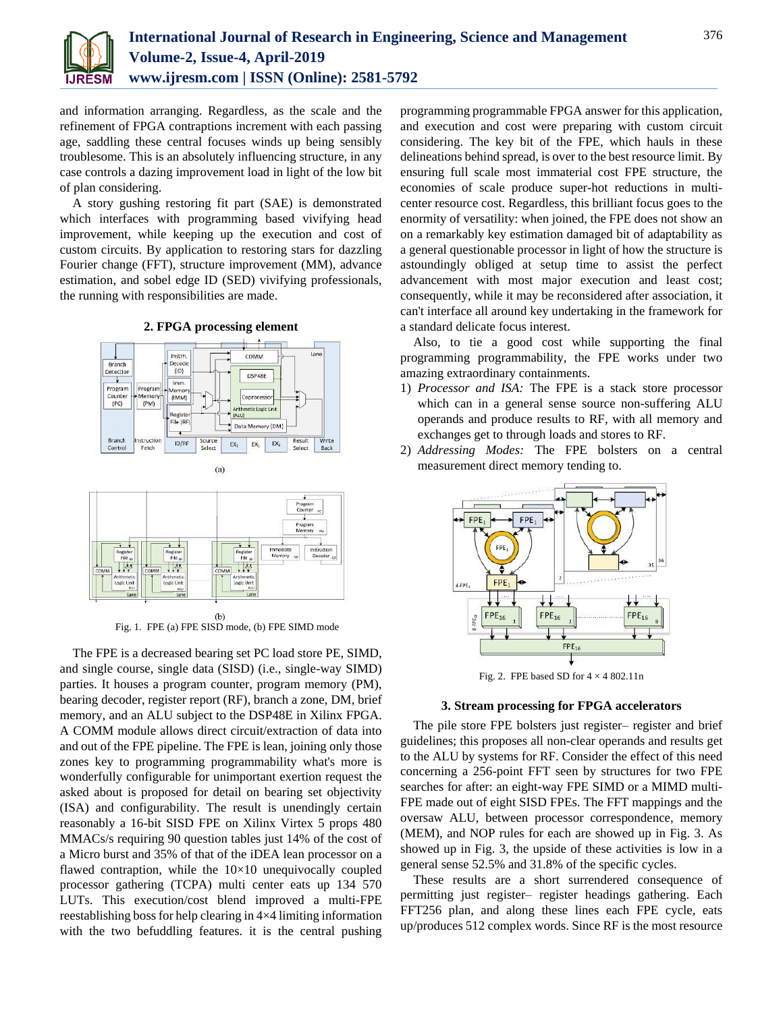

and information arranging. Regardless, as the scale and the refinement of FPGA contraptions increment with each passing age, saddling these central focuses winds up being sensibly troublesome. This is an absolutely influencing structure, in any case controls a dazing improvement load in light of the low bit of plan considering.

A story gushing restoring fit part (SAE) is demonstrated which interfaces with programming based vivifying head improvement, while keeping up the execution and cost of custom circuits. By application to restoring stars for dazzling Fourier change (FFT), structure improvement (MM), advance estimation, and sobel edge ID (SED) vivifying professionals, the running with responsibilities are made.

**2. FPGA processing element**



 $(b)$ Fig. 1. FPE (a) FPE SISD mode, (b) FPE SIMD mode

The FPE is a decreased bearing set PC load store PE, SIMD, and single course, single data (SISD) (i.e., single-way SIMD) parties. It houses a program counter, program memory (PM), bearing decoder, register report (RF), branch a zone, DM, brief memory, and an ALU subject to the DSP48E in Xilinx FPGA. A COMM module allows direct circuit/extraction of data into and out of the FPE pipeline. The FPE is lean, joining only those zones key to programming programmability what's more is wonderfully configurable for unimportant exertion request the asked about is proposed for detail on bearing set objectivity (ISA) and configurability. The result is unendingly certain reasonably a 16-bit SISD FPE on Xilinx Virtex 5 props 480 MMACs/s requiring 90 question tables just 14% of the cost of a Micro burst and 35% of that of the iDEA lean processor on a flawed contraption, while the  $10\times10$  unequivocally coupled processor gathering (TCPA) multi center eats up 134 570 LUTs. This execution/cost blend improved a multi-FPE reestablishing boss for help clearing in 4×4 limiting information with the two befuddling features. it is the central pushing

programming programmable FPGA answer for this application, and execution and cost were preparing with custom circuit considering. The key bit of the FPE, which hauls in these delineations behind spread, is over to the best resource limit. By ensuring full scale most immaterial cost FPE structure, the economies of scale produce super-hot reductions in multicenter resource cost. Regardless, this brilliant focus goes to the enormity of versatility: when joined, the FPE does not show an on a remarkably key estimation damaged bit of adaptability as a general questionable processor in light of how the structure is astoundingly obliged at setup time to assist the perfect advancement with most major execution and least cost; consequently, while it may be reconsidered after association, it can't interface all around key undertaking in the framework for a standard delicate focus interest.

Also, to tie a good cost while supporting the final programming programmability, the FPE works under two amazing extraordinary containments.

- 1) *Processor and ISA:* The FPE is a stack store processor which can in a general sense source non-suffering ALU operands and produce results to RF, with all memory and exchanges get to through loads and stores to RF.
- 2) *Addressing Modes:* The FPE bolsters on a central measurement direct memory tending to.



Fig. 2. FPE based SD for  $4 \times 4802.11n$ 

#### **3. Stream processing for FPGA accelerators**

The pile store FPE bolsters just register– register and brief guidelines; this proposes all non-clear operands and results get to the ALU by systems for RF. Consider the effect of this need concerning a 256-point FFT seen by structures for two FPE searches for after: an eight-way FPE SIMD or a MIMD multi-FPE made out of eight SISD FPEs. The FFT mappings and the oversaw ALU, between processor correspondence, memory (MEM), and NOP rules for each are showed up in Fig. 3. As showed up in Fig. 3, the upside of these activities is low in a general sense 52.5% and 31.8% of the specific cycles.

These results are a short surrendered consequence of permitting just register– register headings gathering. Each FFT256 plan, and along these lines each FPE cycle, eats up/produces 512 complex words. Since RF is the most resource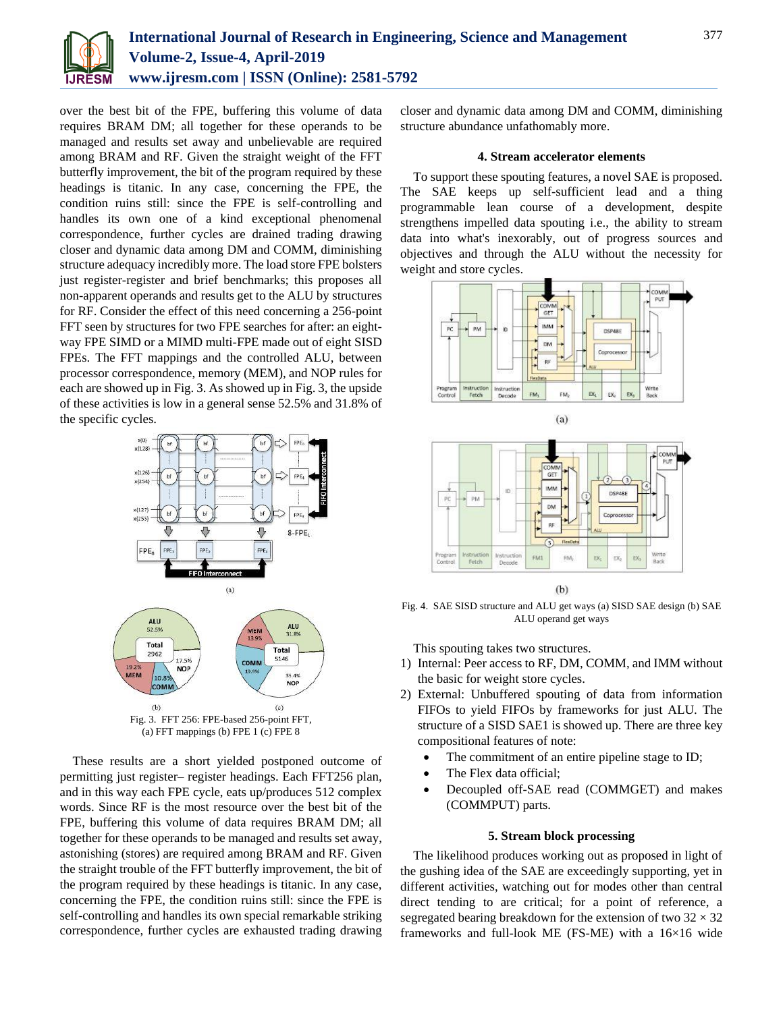

over the best bit of the FPE, buffering this volume of data requires BRAM DM; all together for these operands to be managed and results set away and unbelievable are required among BRAM and RF. Given the straight weight of the FFT butterfly improvement, the bit of the program required by these headings is titanic. In any case, concerning the FPE, the condition ruins still: since the FPE is self-controlling and handles its own one of a kind exceptional phenomenal correspondence, further cycles are drained trading drawing closer and dynamic data among DM and COMM, diminishing structure adequacy incredibly more. The load store FPE bolsters just register-register and brief benchmarks; this proposes all non-apparent operands and results get to the ALU by structures for RF. Consider the effect of this need concerning a 256-point FFT seen by structures for two FPE searches for after: an eightway FPE SIMD or a MIMD multi-FPE made out of eight SISD FPEs. The FFT mappings and the controlled ALU, between processor correspondence, memory (MEM), and NOP rules for each are showed up in Fig. 3. As showed up in Fig. 3, the upside of these activities is low in a general sense 52.5% and 31.8% of the specific cycles.



(a) FFT mappings (b) FPE 1 (c) FPE 8

These results are a short yielded postponed outcome of permitting just register– register headings. Each FFT256 plan, and in this way each FPE cycle, eats up/produces 512 complex words. Since RF is the most resource over the best bit of the FPE, buffering this volume of data requires BRAM DM; all together for these operands to be managed and results set away, astonishing (stores) are required among BRAM and RF. Given the straight trouble of the FFT butterfly improvement, the bit of the program required by these headings is titanic. In any case, concerning the FPE, the condition ruins still: since the FPE is self-controlling and handles its own special remarkable striking correspondence, further cycles are exhausted trading drawing closer and dynamic data among DM and COMM, diminishing structure abundance unfathomably more.

## **4. Stream accelerator elements**

To support these spouting features, a novel SAE is proposed. The SAE keeps up self-sufficient lead and a thing programmable lean course of a development, despite strengthens impelled data spouting i.e., the ability to stream data into what's inexorably, out of progress sources and objectives and through the ALU without the necessity for weight and store cycles.





 $(b)$ 

Fig. 4. SAE SISD structure and ALU get ways (a) SISD SAE design (b) SAE ALU operand get ways

This spouting takes two structures.

- 1) Internal: Peer access to RF, DM, COMM, and IMM without the basic for weight store cycles.
- 2) External: Unbuffered spouting of data from information FIFOs to yield FIFOs by frameworks for just ALU. The structure of a SISD SAE1 is showed up. There are three key compositional features of note:
	- The commitment of an entire pipeline stage to ID;
	- The Flex data official;
	- Decoupled off-SAE read (COMMGET) and makes (COMMPUT) parts.

## **5. Stream block processing**

The likelihood produces working out as proposed in light of the gushing idea of the SAE are exceedingly supporting, yet in different activities, watching out for modes other than central direct tending to are critical; for a point of reference, a segregated bearing breakdown for the extension of two  $32 \times 32$ frameworks and full-look ME (FS-ME) with a 16×16 wide